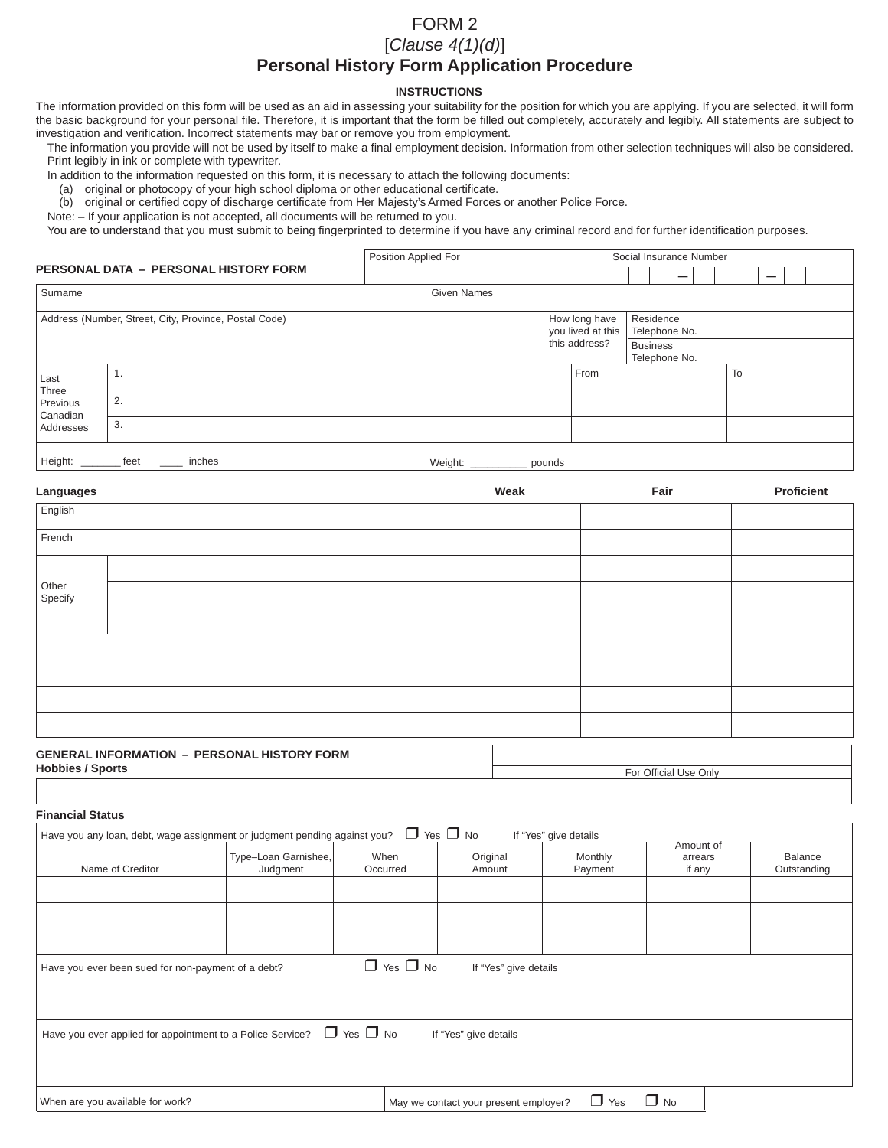### FORM 2

# [*Clause 4(1)(d)*]

# **Personal History Form Application Procedure**

#### **INSTRUCTIONS**

The information provided on this form will be used as an aid in assessing your suitability for the position for which you are applying. If you are selected, it will form the basic background for your personal file. Therefore, it is important that the form be filled out completely, accurately and legibly. All statements are subject to investigation and verification. Incorrect statements may bar or remove you from employment.

The information you provide will not be used by itself to make a final employment decision. Information from other selection techniques will also be considered. Print legibly in ink or complete with typewriter.

Position Applied For Social Insurance Number

In addition to the information requested on this form, it is necessary to attach the following documents:

- (a) original or photocopy of your high school diploma or other educational certificate.
- (b) original or certified copy of discharge certificate from Her Majesty's Armed Forces or another Police Force.

Note: – If your application is not accepted, all documents will be returned to you.

You are to understand that you must submit to being fingerprinted to determine if you have any criminal record and for further identification purposes.

#### **PERSONAL DATA – PERSONAL HISTORY FORM** –

|                                       | PERSONAL DATA – PERSONAL HISTORY FORM                                                                           |                    |                                                     |                                               |    |  |  |
|---------------------------------------|-----------------------------------------------------------------------------------------------------------------|--------------------|-----------------------------------------------------|-----------------------------------------------|----|--|--|
| Surname                               |                                                                                                                 | <b>Given Names</b> |                                                     |                                               |    |  |  |
|                                       | Address (Number, Street, City, Province, Postal Code)                                                           |                    | How long have<br>you lived at this<br>this address? | Residence<br>Telephone No.<br><b>Business</b> |    |  |  |
| Last<br>Three<br>Previous<br>Canadian | . .                                                                                                             |                    | From                                                | Telephone No.                                 | To |  |  |
|                                       | 2.                                                                                                              |                    |                                                     |                                               |    |  |  |
| Addresses                             | 3.                                                                                                              |                    |                                                     |                                               |    |  |  |
| .                                     | the contract of the contract of the contract of the contract of the contract of the contract of the contract of | .                  |                                                     |                                               |    |  |  |

| Heiaht. | t≏≏t<br>551<br>-- | ches<br>.<br>$   -$<br>___ | $M$ ei<br>.<br>,,,, |  |
|---------|-------------------|----------------------------|---------------------|--|
|         |                   |                            |                     |  |

| Languages        |                                             | Weak | Fair | Proficient |  |  |  |
|------------------|---------------------------------------------|------|------|------------|--|--|--|
| English          |                                             |      |      |            |  |  |  |
| French           |                                             |      |      |            |  |  |  |
|                  |                                             |      |      |            |  |  |  |
| Other<br>Specify |                                             |      |      |            |  |  |  |
|                  |                                             |      |      |            |  |  |  |
|                  |                                             |      |      |            |  |  |  |
|                  |                                             |      |      |            |  |  |  |
|                  |                                             |      |      |            |  |  |  |
|                  |                                             |      |      |            |  |  |  |
|                  | GENERAL INFORMATION - PERSONAL HISTORY FORM |      |      |            |  |  |  |

| <b>GENERAL INFORMATION - PERSONAL HISTORY FORM</b> |                       |
|----------------------------------------------------|-----------------------|
| <b>Hobbies / Sports</b>                            | For Official Use Only |

| For Official Use Only |  |
|-----------------------|--|

|                                                    | Have you any loan, debt, wage assignment or judgment pending against you? | $\Box$ Yes $\Box$ No |                       | If "Yes" give details | Amount of         |                        |
|----------------------------------------------------|---------------------------------------------------------------------------|----------------------|-----------------------|-----------------------|-------------------|------------------------|
| Name of Creditor                                   | Type-Loan Garnishee,<br>Judgment                                          | When<br>Occurred     | Original<br>Amount    | Monthly<br>Payment    | arrears<br>if any | Balance<br>Outstanding |
|                                                    |                                                                           |                      |                       |                       |                   |                        |
| Have you ever been sued for non-payment of a debt? |                                                                           | $\Box$ Yes $\Box$ No | If "Yes" give details |                       |                   |                        |
|                                                    | Have you ever applied for appointment to a Police Service?                | $\Box$ Yes $\Box$ No | If "Yes" give details |                       |                   |                        |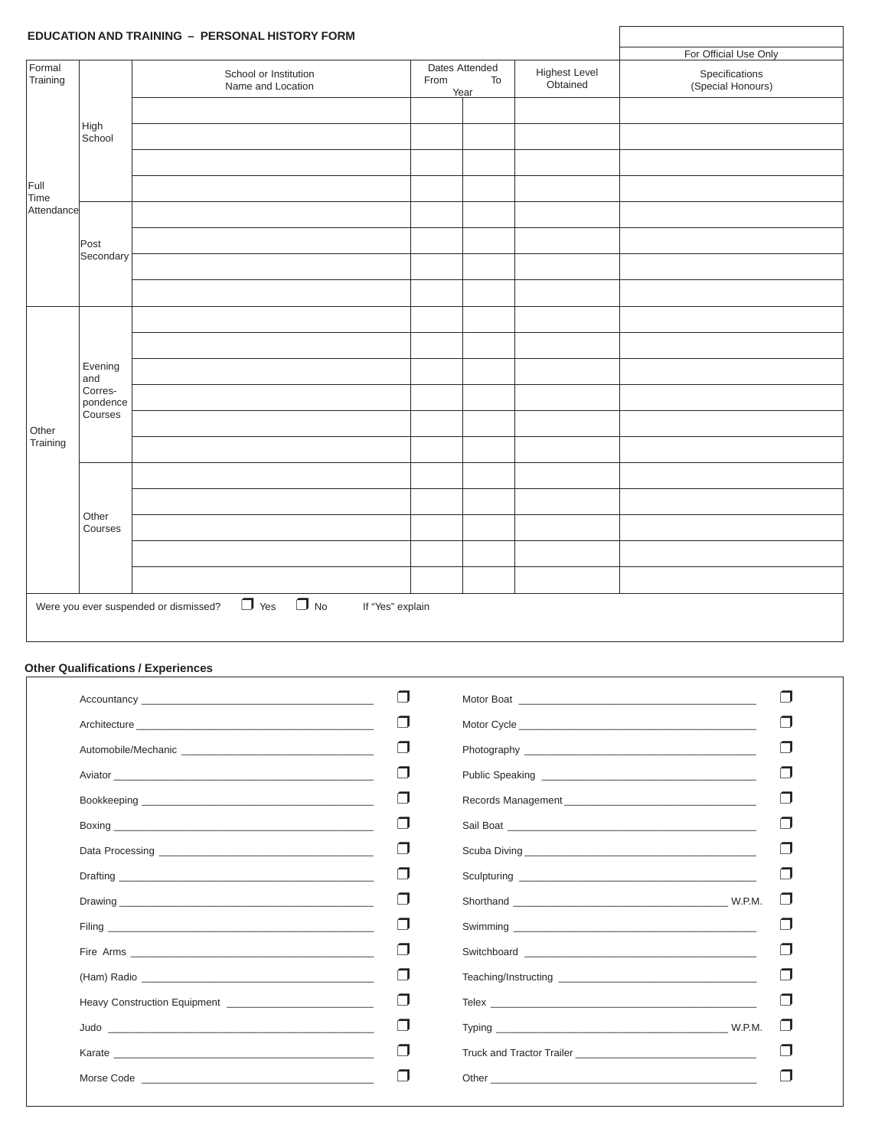|                    |                                | EDUCATION AND TRAINING - PERSONAL HISTORY FORM                                       |  |                                                                   |  |                                     |
|--------------------|--------------------------------|--------------------------------------------------------------------------------------|--|-------------------------------------------------------------------|--|-------------------------------------|
|                    |                                |                                                                                      |  |                                                                   |  | For Official Use Only               |
| Formal<br>Training |                                | School or Institution<br>Name and Location                                           |  | Dates Attended<br>Highest Level<br>Obtained<br>To<br>From<br>Year |  | Specifications<br>(Special Honours) |
|                    |                                |                                                                                      |  |                                                                   |  |                                     |
|                    | High<br>School                 |                                                                                      |  |                                                                   |  |                                     |
|                    |                                |                                                                                      |  |                                                                   |  |                                     |
| Full<br>Time       |                                |                                                                                      |  |                                                                   |  |                                     |
| Attendance         |                                |                                                                                      |  |                                                                   |  |                                     |
|                    | Post<br>Secondary              |                                                                                      |  |                                                                   |  |                                     |
|                    |                                |                                                                                      |  |                                                                   |  |                                     |
|                    |                                |                                                                                      |  |                                                                   |  |                                     |
|                    |                                |                                                                                      |  |                                                                   |  |                                     |
|                    |                                |                                                                                      |  |                                                                   |  |                                     |
|                    | Evening<br>and                 |                                                                                      |  |                                                                   |  |                                     |
|                    | Corres-<br>pondence<br>Courses |                                                                                      |  |                                                                   |  |                                     |
| Other              |                                |                                                                                      |  |                                                                   |  |                                     |
| Training           |                                |                                                                                      |  |                                                                   |  |                                     |
|                    |                                |                                                                                      |  |                                                                   |  |                                     |
|                    | Other                          |                                                                                      |  |                                                                   |  |                                     |
|                    | Courses                        |                                                                                      |  |                                                                   |  |                                     |
|                    |                                |                                                                                      |  |                                                                   |  |                                     |
|                    |                                |                                                                                      |  |                                                                   |  |                                     |
|                    |                                | $\Box$ No<br>$\Box$ Yes<br>Were you ever suspended or dismissed?<br>If "Yes" explain |  |                                                                   |  |                                     |

### **Other Qualifications / Experiences**

| Accountancy and the state of the state of the state of the state of the state of the state of the state of the                                                                                                                       | $\Box$ |  |
|--------------------------------------------------------------------------------------------------------------------------------------------------------------------------------------------------------------------------------------|--------|--|
|                                                                                                                                                                                                                                      | $\Box$ |  |
| Automobile/Mechanic                                                                                                                                                                                                                  | $\Box$ |  |
|                                                                                                                                                                                                                                      | $\Box$ |  |
|                                                                                                                                                                                                                                      | $\Box$ |  |
|                                                                                                                                                                                                                                      | $\Box$ |  |
|                                                                                                                                                                                                                                      | $\Box$ |  |
|                                                                                                                                                                                                                                      | $\Box$ |  |
|                                                                                                                                                                                                                                      | ⊓      |  |
|                                                                                                                                                                                                                                      | $\Box$ |  |
|                                                                                                                                                                                                                                      | $\Box$ |  |
|                                                                                                                                                                                                                                      | $\Box$ |  |
|                                                                                                                                                                                                                                      | $\Box$ |  |
|                                                                                                                                                                                                                                      | $\Box$ |  |
| Karate <b>Executive Service Service Service Service Service Service Service Service Service Service Service Service Service Service Service Service Service Service Service Service Service Service Service Service Service Serv</b> | $\Box$ |  |
|                                                                                                                                                                                                                                      | H      |  |
|                                                                                                                                                                                                                                      |        |  |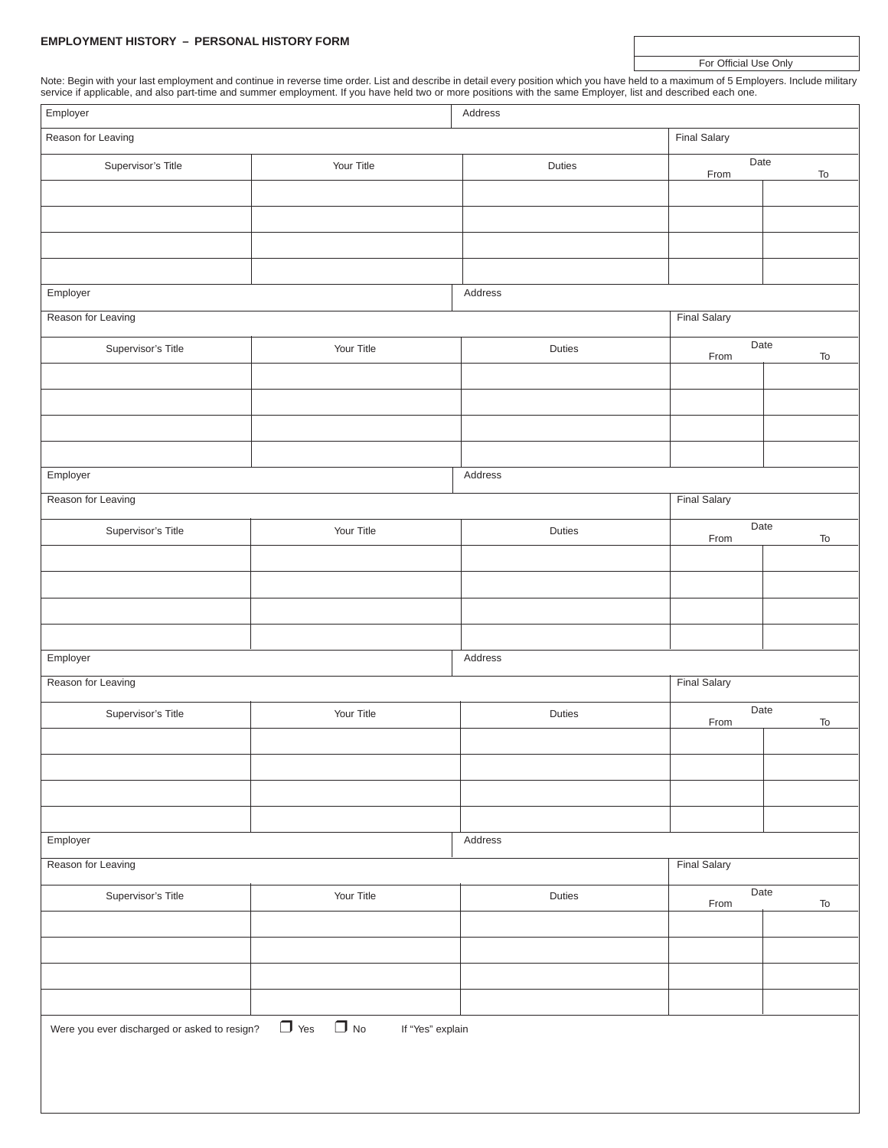#### **EMPLOYMENT HISTORY – PERSONAL HISTORY FORM**

For Official Use Only

Note: Begin with your last employment and continue in reverse time order. List and describe in detail every position which you have held to a maximum of 5 Employers. Include military service if applicable, and also part-time and summer employment. If you have held two or more positions with the same Employer, list and described each one.

| Employer<br>Address                          |                                          |               |                     |                              |  |
|----------------------------------------------|------------------------------------------|---------------|---------------------|------------------------------|--|
| Reason for Leaving                           |                                          |               | <b>Final Salary</b> |                              |  |
| Supervisor's Title                           | Your Title                               | <b>Duties</b> | Date<br>From        | $\mathsf{To}$                |  |
|                                              |                                          |               |                     |                              |  |
|                                              |                                          |               |                     |                              |  |
|                                              |                                          |               |                     |                              |  |
|                                              |                                          |               |                     |                              |  |
|                                              |                                          |               |                     |                              |  |
| Employer                                     |                                          | Address       |                     |                              |  |
| Reason for Leaving                           |                                          |               | <b>Final Salary</b> |                              |  |
| Supervisor's Title                           | Your Title                               | Duties        | Date<br>From        | $\operatorname{\mathsf{To}}$ |  |
|                                              |                                          |               |                     |                              |  |
|                                              |                                          |               |                     |                              |  |
|                                              |                                          |               |                     |                              |  |
|                                              |                                          |               |                     |                              |  |
| Employer                                     |                                          |               |                     |                              |  |
|                                              |                                          | Address       |                     |                              |  |
| Reason for Leaving                           |                                          |               | <b>Final Salary</b> |                              |  |
| Supervisor's Title                           | Your Title                               | Duties        | Date<br>From        | To                           |  |
|                                              |                                          |               |                     |                              |  |
|                                              |                                          |               |                     |                              |  |
|                                              |                                          |               |                     |                              |  |
|                                              |                                          |               |                     |                              |  |
| Employer                                     |                                          | Address       |                     |                              |  |
| Reason for Leaving                           |                                          |               | <b>Final Salary</b> |                              |  |
|                                              |                                          |               |                     |                              |  |
| Supervisor's Title                           | Your Title                               | Duties        | Date<br>From        | $\operatorname{\mathsf{To}}$ |  |
|                                              |                                          |               |                     |                              |  |
|                                              |                                          |               |                     |                              |  |
|                                              |                                          |               |                     |                              |  |
|                                              |                                          |               |                     |                              |  |
| Employer                                     |                                          | Address       |                     |                              |  |
| Reason for Leaving                           |                                          |               | <b>Final Salary</b> |                              |  |
|                                              |                                          |               | Date                |                              |  |
| Supervisor's Title                           | Your Title                               | Duties        | From                | $\operatorname{\mathsf{To}}$ |  |
|                                              |                                          |               |                     |                              |  |
|                                              |                                          |               |                     |                              |  |
|                                              |                                          |               |                     |                              |  |
|                                              |                                          |               |                     |                              |  |
| Were you ever discharged or asked to resign? | $\Box$ Yes $\Box$ No<br>If "Yes" explain |               |                     |                              |  |
|                                              |                                          |               |                     |                              |  |
|                                              |                                          |               |                     |                              |  |
|                                              |                                          |               |                     |                              |  |